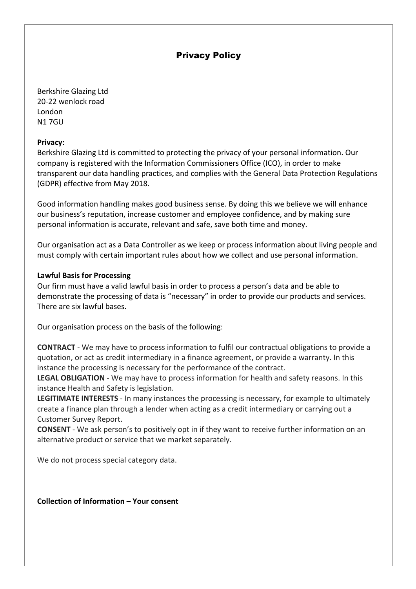Berkshire Glazing Ltd 20-22 wenlock road London N1 7GU

#### **Privacy:**

Berkshire Glazing Ltd is committed to protecting the privacy of your personal information. Our company is registered with the Information Commissioners Office (ICO), in order to make transparent our data handling practices, and complies with the General Data Protection Regulations (GDPR) effective from May 2018.

Good information handling makes good business sense. By doing this we believe we will enhance our business's reputation, increase customer and employee confidence, and by making sure personal information is accurate, relevant and safe, save both time and money.

Our organisation act as a Data Controller as we keep or process information about living people and must comply with certain important rules about how we collect and use personal information.

#### **Lawful Basis for Processing**

Our firm must have a valid lawful basis in order to process a person's data and be able to demonstrate the processing of data is "necessary" in order to provide our products and services. There are six lawful bases.

Our organisation process on the basis of the following:

**CONTRACT** - We may have to process information to fulfil our contractual obligations to provide a quotation, or act as credit intermediary in a finance agreement, or provide a warranty. In this instance the processing is necessary for the performance of the contract.

**LEGAL OBLIGATION** - We may have to process information for health and safety reasons. In this instance Health and Safety is legislation.

**LEGITIMATE INTERESTS** - In many instances the processing is necessary, for example to ultimately create a finance plan through a lender when acting as a credit intermediary or carrying out a Customer Survey Report.

**CONSENT** - We ask person's to positively opt in if they want to receive further information on an alternative product or service that we market separately.

We do not process special category data.

**Collection of Information – Your consent**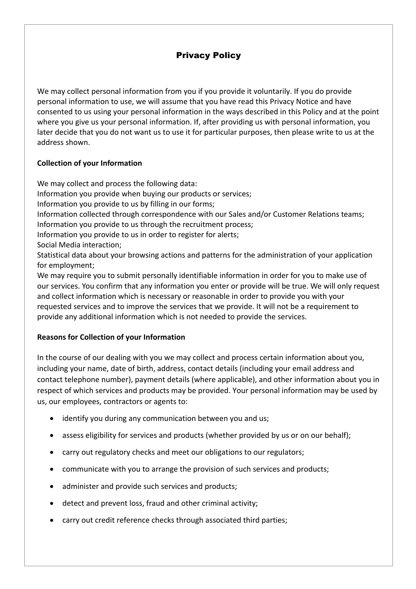We may collect personal information from you if you provide it voluntarily. If you do provide personal information to use, we will assume that you have read this Privacy Notice and have consented to us using your personal information in the ways described in this Policy and at the point where you give us your personal information. If, after providing us with personal information, you later decide that you do not want us to use it for particular purposes, then please write to us at the address shown.

## **Collection of your Information**

We may collect and process the following data: Information you provide when buying our products or services; Information you provide to us by filling in our forms; Information collected through correspondence with our Sales and/or Customer Relations teams; Information you provide to us through the recruitment process; Information you provide to us in order to register for alerts; Social Media interaction; Statistical data about your browsing actions and patterns for the administration of your application for employment; We may require you to submit personally identifiable information in order for you to make use of

our services. You confirm that any information you enter or provide will be true. We will only request and collect information which is necessary or reasonable in order to provide you with your requested services and to improve the services that we provide. It will not be a requirement to provide any additional information which is not needed to provide the services.

### **Reasons for Collection of your Information**

In the course of our dealing with you we may collect and process certain information about you, including your name, date of birth, address, contact details (including your email address and contact telephone number), payment details (where applicable), and other information about you in respect of which services and products may be provided. Your personal information may be used by us, our employees, contractors or agents to:

- identify you during any communication between you and us;
- assess eligibility for services and products (whether provided by us or on our behalf);
- carry out regulatory checks and meet our obligations to our regulators;
- communicate with you to arrange the provision of such services and products;
- administer and provide such services and products;
- detect and prevent loss, fraud and other criminal activity;
- carry out credit reference checks through associated third parties;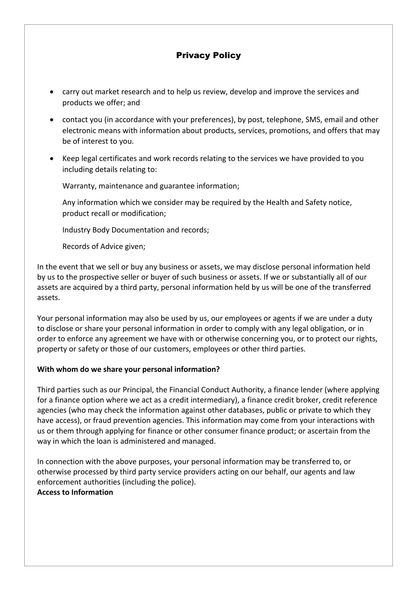- carry out market research and to help us review, develop and improve the services and products we offer; and
- contact you (in accordance with your preferences), by post, telephone, SMS, email and other electronic means with information about products, services, promotions, and offers that may be of interest to you.
- Keep legal certificates and work records relating to the services we have provided to you including details relating to:

Warranty, maintenance and guarantee information;

Any information which we consider may be required by the Health and Safety notice, product recall or modification;

Industry Body Documentation and records;

Records of Advice given;

In the event that we sell or buy any business or assets, we may disclose personal information held by us to the prospective seller or buyer of such business or assets. If we or substantially all of our assets are acquired by a third party, personal information held by us will be one of the transferred assets.

Your personal information may also be used by us, our employees or agents if we are under a duty to disclose or share your personal information in order to comply with any legal obligation, or in order to enforce any agreement we have with or otherwise concerning you, or to protect our rights, property or safety or those of our customers, employees or other third parties.

### **With whom do we share your personal information?**

Third parties such as our Principal, the Financial Conduct Authority, a finance lender (where applying for a finance option where we act as a credit intermediary), a finance credit broker, credit reference agencies (who may check the information against other databases, public or private to which they have access), or fraud prevention agencies. This information may come from your interactions with us or them through applying for finance or other consumer finance product; or ascertain from the way in which the loan is administered and managed.

In connection with the above purposes, your personal information may be transferred to, or otherwise processed by third party service providers acting on our behalf, our agents and law enforcement authorities (including the police).

## **Access to Information**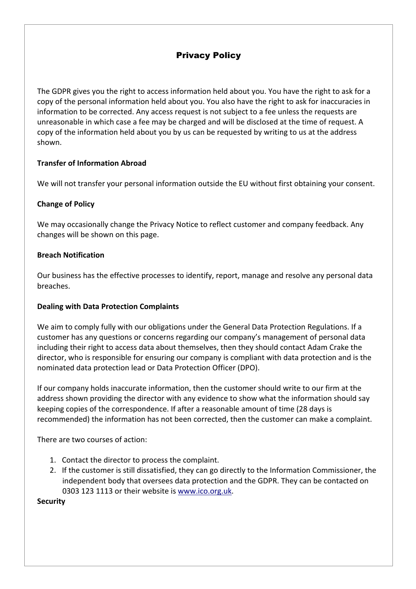The GDPR gives you the right to access information held about you. You have the right to ask for a copy of the personal information held about you. You also have the right to ask for inaccuracies in information to be corrected. Any access request is not subject to a fee unless the requests are unreasonable in which case a fee may be charged and will be disclosed at the time of request. A copy of the information held about you by us can be requested by writing to us at the address shown.

### **Transfer of Information Abroad**

We will not transfer your personal information outside the EU without first obtaining your consent.

### **Change of Policy**

We may occasionally change the Privacy Notice to reflect customer and company feedback. Any changes will be shown on this page.

### **Breach Notification**

Our business has the effective processes to identify, report, manage and resolve any personal data breaches.

#### **Dealing with Data Protection Complaints**

We aim to comply fully with our obligations under the General Data Protection Regulations. If a customer has any questions or concerns regarding our company's management of personal data including their right to access data about themselves, then they should contact Adam Crake the director, who is responsible for ensuring our company is compliant with data protection and is the nominated data protection lead or Data Protection Officer (DPO).

If our company holds inaccurate information, then the customer should write to our firm at the address shown providing the director with any evidence to show what the information should say keeping copies of the correspondence. If after a reasonable amount of time (28 days is recommended) the information has not been corrected, then the customer can make a complaint.

There are two courses of action:

- 1. Contact the director to process the complaint.
- 2. If the customer is still dissatisfied, they can go directly to the Information Commissioner, the independent body that oversees data protection and the GDPR. They can be contacted on 0303 123 1113 or their website is www.ico.org.uk.

**Security**